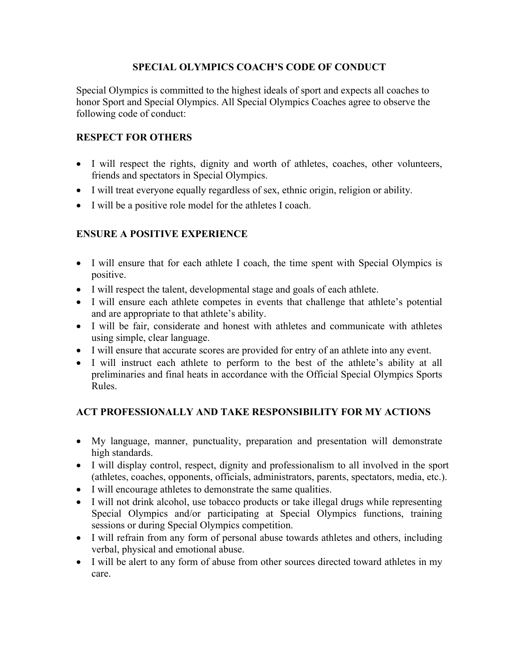#### **SPECIAL OLYMPICS COACH'S CODE OF CONDUCT**

Special Olympics is committed to the highest ideals of sport and expects all coaches to honor Sport and Special Olympics. All Special Olympics Coaches agree to observe the following code of conduct:

#### **RESPECT FOR OTHERS**

- I will respect the rights, dignity and worth of athletes, coaches, other volunteers, friends and spectators in Special Olympics.
- I will treat everyone equally regardless of sex, ethnic origin, religion or ability.
- I will be a positive role model for the athletes I coach.

### **ENSURE A POSITIVE EXPERIENCE**

- I will ensure that for each athlete I coach, the time spent with Special Olympics is positive.
- I will respect the talent, developmental stage and goals of each athlete.
- I will ensure each athlete competes in events that challenge that athlete's potential and are appropriate to that athlete's ability.
- I will be fair, considerate and honest with athletes and communicate with athletes using simple, clear language.
- I will ensure that accurate scores are provided for entry of an athlete into any event.
- I will instruct each athlete to perform to the best of the athlete's ability at all preliminaries and final heats in accordance with the Official Special Olympics Sports Rules.

### **ACT PROFESSIONALLY AND TAKE RESPONSIBILITY FOR MY ACTIONS**

- My language, manner, punctuality, preparation and presentation will demonstrate high standards.
- I will display control, respect, dignity and professionalism to all involved in the sport (athletes, coaches, opponents, officials, administrators, parents, spectators, media, etc.).
- I will encourage athletes to demonstrate the same qualities.
- I will not drink alcohol, use tobacco products or take illegal drugs while representing Special Olympics and/or participating at Special Olympics functions, training sessions or during Special Olympics competition.
- I will refrain from any form of personal abuse towards athletes and others, including verbal, physical and emotional abuse.
- I will be alert to any form of abuse from other sources directed toward athletes in my care.